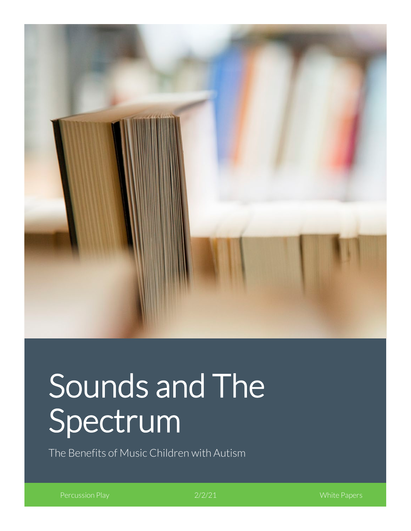

# Sounds and The Spectrum

The Benefits of Music Children with Autism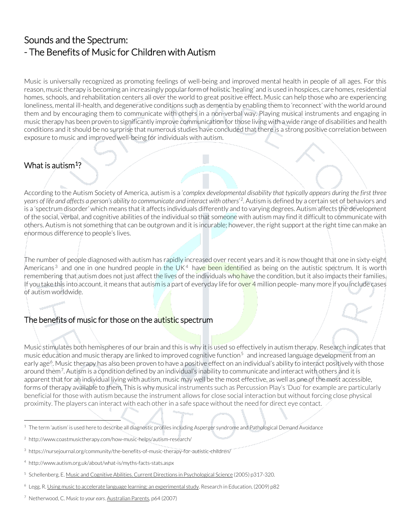# Sounds and the Spectrum: - The Benefits of Music for Children with Autism

Music is universally recognized as promoting feelings of well-being and improved mental health in people of all ages. For this reason, music therapy is becoming an increasingly popular form of holistic 'healing' and is used in hospices, care homes, residential homes, schools, and rehabilitation centers all over the world to great positive effect. Music can help those who are experiencing loneliness, mental ill-health, and degenerative conditions such as dementia by enabling them to 'reconnect' with the world around them and by encouraging them to communicate with others in a non-verbal way. Playing musical instruments and engaging in music therapy has been proven to significantly improve communication for those living with a wide range of disabilities and health conditions and it should be no surprise that numerous studies have concluded that there is a strong positive correlation between exposure to music and improved well-being for individuals with autism.

# What is autism<sup>1</sup>?

According to the [Autism Society of America,](http://www.autism-society.org/about-autism/) autism is a '*complex developmental disability that typically appears during the first three years of life and affects a person's ability to communicate and interact with others*' [2](#page-1-1). Autism is defined by a certain set of behaviors and is a 'spectrum disorder' which means that it affects individuals differently and to varying degrees. Autism affects the development of the social, verbal, and cognitive abilities of the individual so that someone with autism may find it difficult to communicate with others. Autism is not something that can be outgrown and it is incurable; however, the right support at the right time can make an enormous difference to people's lives.

The number of people diagnosed with autism has rapidly increased over recent years and it is now thought that one in sixty-eight Americans<sup>[3](#page-1-2)</sup> and one in one hundred people in the UK<sup>[4](#page-1-3)</sup> have been identified as being on the autistic spectrum. It is worth remembering that autism does not just affect the lives of the individuals who have the condition, but it also impacts their families. If you take this into account, it means that autism is a part of everyday life for over 4 million people- many more if you include cases of autism worldwide.

## The benefits of music for those on the autistic spectrum

Music stimulates both hemispheres of our brain and this is why it is used so effectively in autism therapy. Research indicates that music education and music therapy are linked to improved cognitive function<sup>[5](#page-1-4)</sup> and increased language development from an early age<sup>[6](#page-1-5)</sup>. Music therapy has also been proven to have a positive effect on an individual's ability to interact positively with those around them<sup>7</sup>. Autism is a condition defined by an individual's inability to communicate and interact with others and it is apparent that for an individual living with autism, music may well be the most effective, as well as one of the most accessible, forms of therapy available to them. This is why musical instruments such as Percussion Play's 'Duo' for example are particularly beneficial for those with autism because the instrument allows for close social interaction but without forcing close physical proximity. The players can interact with each other in a safe space without the need for direct eye contact.

<span id="page-1-0"></span><sup>1</sup> The term 'autism' is used here to describe all diagnostic profiles including Asperger syndrome and Pathological Demand Avoidance

<span id="page-1-1"></span><sup>2</sup> <http://www.coastmusictherapy.com/how-music-helps/autism-research/>

<span id="page-1-2"></span><sup>3</sup> <https://nursejournal.org/community/the-benefits-of-music-therapy-for-autistic-children/>

<span id="page-1-3"></span><sup>4</sup> http://www.autism.org.uk/about/what-is/myths-facts-stats.aspx

<span id="page-1-4"></span><sup>5</sup> Schellenberg, E. Music and Cognitive Abilities. Current Directions in Psychological Science (2005) p317-320.

<span id="page-1-5"></span><sup>6</sup> Legg, R. Using music to accelerate language learning: an experimental study. Research in Education, (2009) p82

<span id="page-1-6"></span><sup>7</sup> Netherwood, C. *Music to your ears*. Australian Parents, p64 (2007)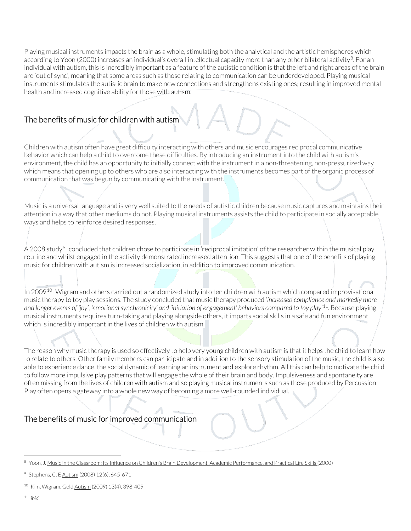Playing musical instruments impacts the brain as a whole, stimulating both the analytical and the artistic hemispheres which according to Yoon (2000) increases an individual's overall intellectual capacity more than any other bilateral activity<sup>[8](#page-2-0)</sup>. For an individual with autism, this is incredibly important as a feature of the autistic condition is that the left and right areas of the brain are 'out of sync', meaning that some areas such as those relating to communication can be underdeveloped. Playing musical instruments stimulates the autistic brain to make new connections and strengthens existing ones; resulting in improved mental health and increased cognitive ability for those with autism.

## The benefits of music for children with autism

Children with autism often have great difficulty interacting with others and music encourages reciprocal communicative behavior which can help a child to overcome these difficulties. By introducing an instrument into the child with autism's environment, the child has an opportunity to initially connect with the instrument in a non-threatening, non-pressurized way which means that opening up to others who are also interacting with the instruments becomes part of the organic process of communication that was begun by communicating with the instrument.

Music is a universal language and is very well suited to the needs of autistic children because music captures and maintains their attention in a way that other mediums do not. Playing musical instruments assists the child to participate in socially acceptable ways and helps to reinforce desired responses.

A 2008 study<sup>[9](#page-2-1)</sup> concluded that children chose to participate in 'reciprocal imitation' of the researcher within the musical play routine and whilst engaged in the activity demonstrated increased attention. This suggests that one of the benefits of playing music for children with autism is increased socialization, in addition to improved communication.

In 2009<sup>[10](#page-2-2)</sup> Wigram and others carried out a randomized study into ten children with autism which compared improvisational music therapy to toy play sessions. The study concluded that music therapy produced '*increased compliance and markedly more and longer events of 'joy', 'emotional synchronicity' and 'initiation of engagement' behaviors compared to toy play*' [11.](#page-2-3) Because playing musical instruments requires turn-taking and playing alongside others, it imparts social skills in a safe and fun environment which is incredibly important in the lives of children with autism.

The reason why music therapy is used so effectively to help very young children with autism is that it helps the child to learn how to relate to others. Other family members can participate and in addition to the sensory stimulation of the music, the child is also able to experience dance, the social dynamic of learning an instrument and explore rhythm. All this can help to motivate the child to follow more impulsive play patterns that will engage the whole of their brain and body. Impulsiveness and spontaneity are often missing from the lives of children with autism and so playing musical instruments such as those produced by Percussion Play often opens a gateway into a whole new way of becoming a more well-rounded individual.

## The benefits of music for improved communication

<span id="page-2-3"></span><sup>11</sup> *ibid*

<span id="page-2-0"></span><sup>8</sup> Yoon, J. Music in the Classroom: Its Influence on Children's Brain Development, Academic Performance, and Practical Life Skills (2000)

<span id="page-2-1"></span><sup>&</sup>lt;sup>9</sup> Stephens, C. E Autism (2008) 12(6), 645-671

<span id="page-2-2"></span><sup>&</sup>lt;sup>10</sup> Kim, Wigram, Gold **Autism** (2009) 13(4), 398-409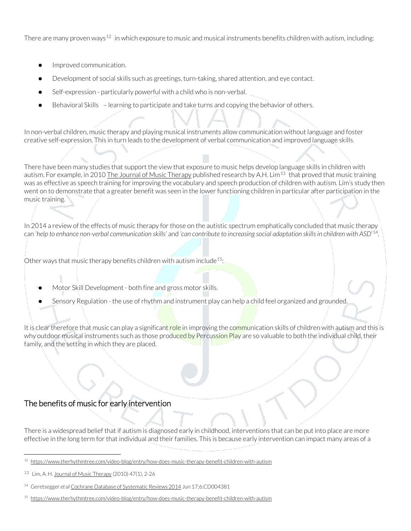There are many proven ways<sup>[12](#page-3-0)</sup> in which exposure to music and musical instruments benefits children with autism, including:

- Improved communication.
- Development of social skills such as greetings, turn-taking, shared attention, and eye contact.
- Self-expression particularly powerful with a child who is non-verbal.
- Behavioral Skills learning to participate and take turns and copying the behavior of others.

In non-verbal children, music therapy and playing musical instruments allow communication without language and foster creative self-expression. This in turn leads to the development of verbal communication and improved language skills.

There have been many studies that support the view that exposure to music helps develop language skills in children with autism. For example, in 2010 The Journal of Music Therapy published research by A.H. Lim<sup>[13](#page-3-1)</sup> that proved that music training was as effective as speech training for improving the vocabulary and speech production of children with autism. Lim's study then went on to demonstrate that a greater benefit was seen in the lower functioning children in particular after participation in the music training.

In 2014 a review of the effects of music therapy for those on the autistic spectrum emphatically concluded that music therapy can '*help to enhance non-verbal communication skills'* and *'can contribute to increasing social adaptation skills in children with ASD*' [14](#page-3-2).

Other ways that music therapy benefits children with autism include  $15$ :

- Motor Skill Development both fine and gross motor skills.
- Sensory Regulation the use of rhythm and instrument play can help a child feel organized and grounded.

It is clear therefore that music can play a significant role in improving the communication skills of children with autism and this is why outdoor musical instruments such as those produced by Percussion Play are so valuable to both the individual child, their family, and the setting in which they are placed.

#### The benefits of music for early intervention

There is a widespread belief that if autism is diagnosed early in childhood, interventions that can be put into place are more effective in the long term for that individual and their families. This is because early intervention can impact many areas of a

<span id="page-3-0"></span><sup>12</sup> <https://www.therhythmtree.com/video-blog/entry/how-does-music-therapy-benefit-children-with-autism>

<span id="page-3-1"></span><sup>13</sup> Lim, A. H. Journal of Music Therapy (2010) 47(1), 2-26

<span id="page-3-2"></span><sup>14</sup> Geretsegger *et al* Cochrane Database of Systematic Reviews 2014 Jun 17;6:CD004381

<span id="page-3-3"></span><sup>15</sup> <https://www.therhythmtree.com/video-blog/entry/how-does-music-therapy-benefit-children-with-autism>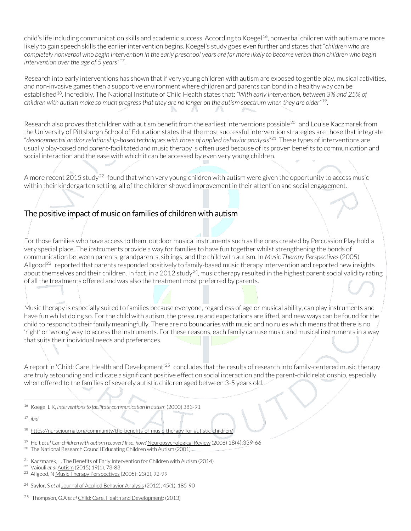child's life including communication skills and academic success. According to Koegel<sup>16</sup>, nonverbal children with autism are more likely to gain speech skills the earlier intervention begins. Koegel's study goes even further and states that "*children who are completely nonverbal who begin intervention in the early preschool years are far more likely to become verbal than children who begin intervention over the age of 5 years"[17.](#page-4-1)*

Research into early interventions has shown that if very young children with autism are exposed to gentle play, musical activities, and non-invasive games then a supportive environment where children and parents can bond in a healthy way can be established[18](#page-4-2). Incredibly, The National Institute of Child Health states that: *"With early intervention, between 3% and 25% of children with autism make so much progress that they are no longer on the autism spectrum when they are older"*[19](#page-4-3).

Research also proves that children with autism benefit from the earliest interventions possible<sup>[20](#page-4-4)</sup> and Louise Kaczmarek from the University of Pittsburgh School of Education states that the most successful intervention strategies are those that integrate "*developmental and/or relationship-based techniques with those of applied behavior analysis"*[21.](#page-4-5) These types of interventions are usually play-based and parent-facilitated and music therapy is often used because of its proven benefits to communication and social interaction and the ease with which it can be accessed by even very young children.

A more recent 2015 study<sup>[22](#page-4-6)</sup> found that when very young children with autism were given the opportunity to access music within their kindergarten setting, all of the children showed improvement in their attention and social engagement.

## The positive impact of music on families of children with autism

For those families who have access to them, outdoor musical instruments such as the ones created by Percussion Play hold a very special place. The instruments provide a way for families to have fun together whilst strengthening the bonds of communication between parents, grandparents, siblings, and the child with autism. In *Music Therapy Perspectives*(2005) Allgood<sup>[23](#page-4-7)</sup> reported that parents responded positively to family-based music therapy intervention and reported new insights about themselves and their children. In fact, in a 2012 study<sup>24</sup>, music therapy resulted in the highest parent social validity rating of all the treatments offered and was also the treatment most preferred by parents.

Music therapy is especially suited to families because everyone, regardless of age or musical ability, can play instruments and have fun whilst doing so. For the child with autism, the pressure and expectations are lifted, and new ways can be found for the child to respond to their family meaningfully. There are no boundaries with music and no rules which means that there is no 'right' or 'wrong' way to access the instruments. For these reasons, each family can use music and musical instruments in a way that suits their individual needs and preferences.

A report in 'Child: Care, Health and Development'[25](#page-4-9) concludes that the results of research into family-centered music therapy are truly astounding and indicate a significant positive effect on social interaction and the parent-child relationship, especially when offered to the families of severely autistic children aged between 3-5 years old.

- <span id="page-4-0"></span><sup>16</sup> Koegel L K, *Interventions to facilitate communication in autism* (2000) 383-91
- <span id="page-4-1"></span><sup>17</sup> *ibid*
- <span id="page-4-2"></span><sup>18</sup> https://nursejournal.org/community/the-benefits-of-music-therapy-for-autistic-children,
- <span id="page-4-4"></span><span id="page-4-3"></span><sup>19</sup> Helt *et al Can children with autism recover? If so, how?* Neuropsychological Review (2008) 18(4):339-66 <sup>20</sup> The National Research Council Educating Children with Autism (2001)
- <span id="page-4-5"></span><sup>21</sup> Kaczmarek, L. The Benefits of Early Intervention for Children with Autism (2014)
- <span id="page-4-6"></span><sup>22</sup> Vaiouli *et al* Autism (2015) 19(1), 73-83
- <span id="page-4-7"></span><sup>23</sup> Allgood, N Music Therapy Perspectives (2005); 23(2), 92-99
- <span id="page-4-8"></span><sup>24</sup> Saylor, S *et al* Journal of Applied Behavior Analysis (2012); 45(1), 185-90
- <span id="page-4-9"></span><sup>25</sup> Thompson, G.A *et al* Child: Care, Health and Development; (2013)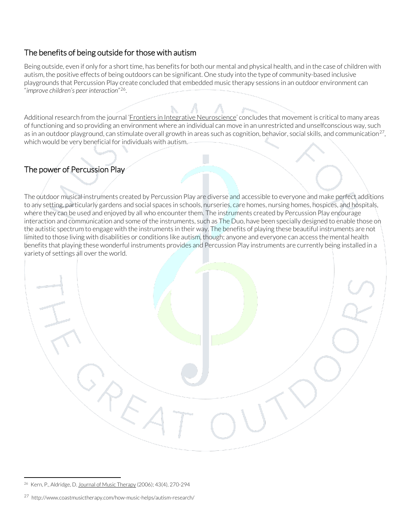## The benefits of being outside for those with autism

Being outside, even if only for a short time, has benefits for both our mental and physical health, and in the case of children with autism, the positive effects of being outdoors can be significant. One study into the type of community-based inclusive playgrounds that Percussion Play create concluded that embedded music therapy sessions in an outdoor environment can "*improve children's peer interaction*"[26](#page-5-0).

Additional research from the journal '*Frontiers in Integrative Neuroscience*' concludes that movement is critical to many areas of functioning and so providing an environment where an individual can move in an unrestricted and unselfconscious way, such as in an outdoor playground, can stimulate overall growth in areas such as cognition, behavior, social skills, and communication<sup>[27](#page-5-1)</sup>, which would be very beneficial for individuals with autism.

 $\sqrt{2}$ 

# The power of Percussion Play

 $\overline{\phantom{a}}$ 

The outdoor musical instruments created by Percussion Play are diverse and accessible to everyone and make perfect additions to any setting, particularly gardens and social spaces in schools, nurseries, care homes, nursing homes, hospices, and hospitals, where they can be used and enjoyed by all who encounter them. The instruments created by Percussion Play encourage interaction and communication and some of the instruments, such as The Duo, have been specially designed to enable those on the autistic spectrum to engage with the instruments in their way. The benefits of playing these beautiful instruments are not limited to those living with disabilities or conditions like autism, though; anyone and everyone can access the mental health benefits that playing these wonderful instruments provides and Percussion Play instruments are currently being installed in a variety of settings all over the world.

<span id="page-5-0"></span><sup>&</sup>lt;sup>26</sup> Kern, P., Aldridge, D. Journal of Music Therapy (2006); 43(4), 270-294

<span id="page-5-1"></span><sup>27</sup> <http://www.coastmusictherapy.com/how-music-helps/autism-research/>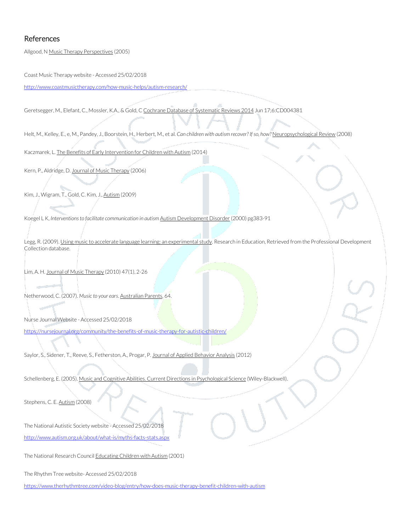#### References

Allgood, N Music Therapy Perspectives (2005)

Coast Music Therapy website - Accessed 25/02/2018

<http://www.coastmusictherapy.com/how-music-helps/autism-research/>

Geretsegger, M., Elefant, C., Mossler, K.A., & Gold, C Cochrane Database of Systematic Reviews 2014 Jun 17;6:CD004381

Helt, M., Kelley, E., e, M., Pandey, J., Boorstein, H., Herbert, M., et al. *Can children with autism recover? If so*, how? Neuropsychological Review (2008)

Kaczmarek, L. The Benefits of Early Intervention for Children with Autism (2014)

Kern, P., Aldridge, D. Journal of Music Therapy (2006)

Kim, J., Wigram, T., Gold, C. Kim, J., Autism (2009)

Koegel L K, Interventions to facilitate communication in autism Autism Development Disorder (2000) pg383-91

Legg, R. (2009). Using music to accelerate language learning: an experimental study. Research in Education, Retrieved from the Professional Development Collection database.

Lim, A. H. Journal of Music Therapy (2010) 47(1), 2-26

Netherwood, C. (2007). Music to your ears. Australian Parents, 64.

Nurse Journal Website - Accessed 25/02/2018 <https://nursejournal.org/community/the-benefits-of-music-therapy-for-autistic-children/>

Saylor, S., Sidener, T., Reeve, S., Fetherston, A., Progar, P. Journal of Applied Behavior Analysis (2012)

Schellenberg, E. (2005). Music and Cognitive Abilities. Current Directions in Psychological Science (Wiley-Blackwell).

Stephens, C. E. Autism (2008)

The National Autistic Society website - Accessed 25/02/2018 <http://www.autism.org.uk/about/what-is/myths-facts-stats.aspx>

The National Research Council Educating Children with Autism (2001)

The Rhythm Tree website- Accessed 25/02/2018

<https://www.therhythmtree.com/video-blog/entry/how-does-music-therapy-benefit-children-with-autism>